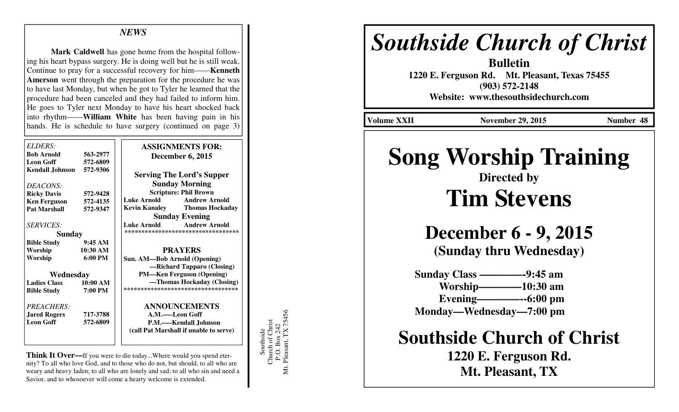#### *NEWS*

 **Mark Caldwell** has gone home from the hospital following his heart bypass surgery. He is doing well but he is still weak. Continue to pray for a successful recovery for him——**Kenneth Amerson** went through the preparation for the procedure he was to have last Monday, but when he got to Tyler he learned that the procedure had been canceled and they had failed to inform him. He goes to Tyler next Monday to have his heart shocked back into rhythm——**William White** has been having pain in his hands. He is schedule to have surgery (continued on page 3)

| <b>ELDERS:</b>         |                   | <b>ASSIGNMENTS FOR:</b>                    |
|------------------------|-------------------|--------------------------------------------|
| <b>Bob Arnold</b>      | 563-2977          | <b>December 6, 2015</b>                    |
| <b>Leon Goff</b>       | 572-6809          |                                            |
| <b>Kendall Johnson</b> | 572-9306          | <b>Serving The Lord's Supper</b>           |
| DEACONS:               |                   | <b>Sunday Morning</b>                      |
| <b>Ricky Davis</b>     | 572-9428          | <b>Scripture: Phil Brown</b>               |
| <b>Ken Ferguson</b>    | 572-4135          | <b>Luke Arnold</b><br><b>Andrew Arnold</b> |
| <b>Pat Marshall</b>    | 572-9347          | <b>Kevin Kanaley Thomas Hockaday</b>       |
|                        |                   | <b>Sunday Evening</b>                      |
| <i>SERVICES:</i>       |                   | Luke Arnold Andrew Arnold                  |
| <b>Sunday</b>          |                   | ***********************************        |
| <b>Bible Study</b>     | 9:45AM            |                                            |
| Worship                | 10:30 AM          | <b>PRAYERS</b>                             |
| Worship                | $6:00 \text{ PM}$ | Sun. AM—Bob Arnold (Opening)               |
|                        |                   | -Richard Tapparo (Closing)                 |
| Wednesday              |                   | <b>PM—Ken Ferguson (Opening)</b>           |
| <b>Ladies Class</b>    | 10:00 AM          | —Thomas Hockaday (Closing)                 |
| <b>Bible Study</b>     | 7:00 PM           | ***********************************        |
| <b>PREACHERS:</b>      |                   | <b>ANNOUNCEMENTS</b>                       |
| <b>Jared Rogers</b>    | 717-3788          | A.M.——Leon Goff                            |
| <b>Leon Goff</b>       | 572-6809          | P.M.-Kendall Johnson                       |
|                        |                   | (call Pat Marshall if unable to serve)     |
|                        |                   |                                            |

**Think It Over—**If you were to die today...Where would you spend eternity? To all who love God, and to those who do not, but should, to all who are weary and heavy laden; to all who are lonely and sad; to all who sin and need a Savior, and to whosoever will come a hearty welcome is extended.

Southside<br>Church of Christ<br>P.O. Box 242<br>Mt. Pleasant, TX 75456 Mt. Pleasant, TX 75456 Church of Christ P.O. Box 242 Southside

## *Southside Church of Christ*

**Bulletin 1220 E. Ferguson Rd. Mt. Pleasant, Texas 75455 (903) 572-2148 Website: www.thesouthsidechurch.com** 

**Volume XXII November 29, 2015 Number 48** 

# **Song Worship Training**

### **Directed by Tim Stevens**

**December 6 - 9, 2015 (Sunday thru Wednesday)** 

 **Sunday Class ————-9:45 am Worship————10:30 am Evening————--6:00 pm Monday—Wednesday—7:00 pm** 

**Southside Church of Christ** 

**1220 E. Ferguson Rd. Mt. Pleasant, TX**